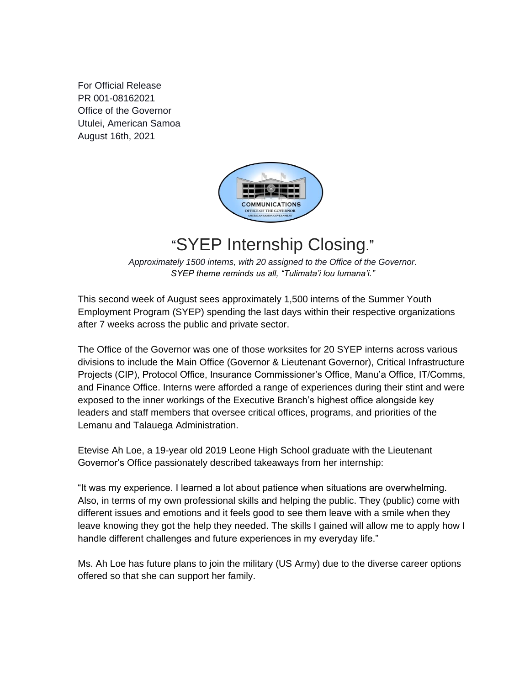For Official Release PR 001-08162021 Office of the Governor Utulei, American Samoa August 16th, 2021



## "SYEP Internship Closing."

*Approximately 1500 interns, with 20 assigned to the Office of the Governor. SYEP theme reminds us all, "Tulimata'i lou lumana'i."*

This second week of August sees approximately 1,500 interns of the Summer Youth Employment Program (SYEP) spending the last days within their respective organizations after 7 weeks across the public and private sector.

The Office of the Governor was one of those worksites for 20 SYEP interns across various divisions to include the Main Office (Governor & Lieutenant Governor), Critical Infrastructure Projects (CIP), Protocol Office, Insurance Commissioner's Office, Manu'a Office, IT/Comms, and Finance Office. Interns were afforded a range of experiences during their stint and were exposed to the inner workings of the Executive Branch's highest office alongside key leaders and staff members that oversee critical offices, programs, and priorities of the Lemanu and Talauega Administration.

Etevise Ah Loe, a 19-year old 2019 Leone High School graduate with the Lieutenant Governor's Office passionately described takeaways from her internship:

"It was my experience. I learned a lot about patience when situations are overwhelming. Also, in terms of my own professional skills and helping the public. They (public) come with different issues and emotions and it feels good to see them leave with a smile when they leave knowing they got the help they needed. The skills I gained will allow me to apply how I handle different challenges and future experiences in my everyday life."

Ms. Ah Loe has future plans to join the military (US Army) due to the diverse career options offered so that she can support her family.